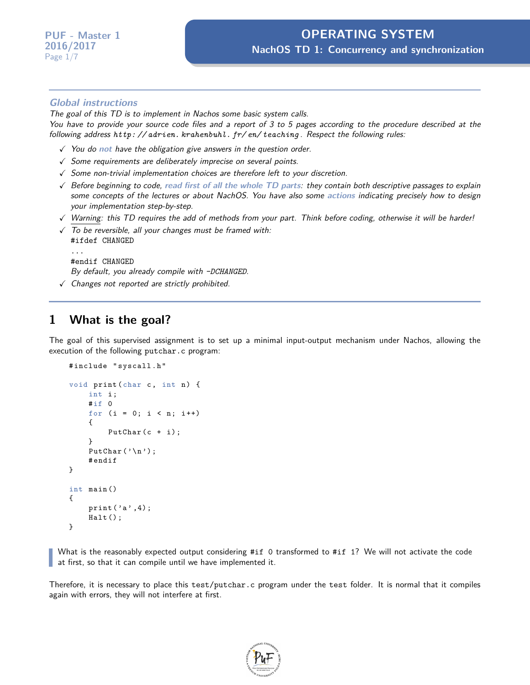#### **Global instructions**

The goal of this TD is to implement in Nachos some basic system calls.

You have to provide your source code files and a report of 3 to 5 pages according to the procedure described at the following address *[http: // adrien. krahenbuhl. fr/ en/ teaching](http://adrien.krahenbuhl.fr/en/teaching)* . Respect the following rules:

- X You do **not** have the obligation give answers in the question order.
- $\sqrt{\ }$  Some requirements are deliberately imprecise on several points.
- $\checkmark$  Some non-trivial implementation choices are therefore left to your discretion.
- X Before beginning to code, **read first of all the whole TD parts**: they contain both descriptive passages to explain some concepts of the lectures or about NachOS. You have also some **actions** indicating precisely how to design your implementation step-by-step.
- $\sqrt{N}$  Warning: this TD requires the add of methods from your part. Think before coding, otherwise it will be harder!
- $\sqrt{ }$  To be reversible, all your changes must be framed with: #ifdef CHANGED ...

```
#endif CHANGED
```
By default, you already compile with *-DCHANGED*.

 $\checkmark$  Changes not reported are strictly prohibited.

### **1 What is the goal?**

The goal of this supervised assignment is to set up a minimal input-output mechanism under Nachos, allowing the execution of the following putchar.c program:

```
# include " syscall . h "
void print (char c, int n) {
    int i;
    #if 0
    for (i = 0; i < n; i++){
         PutChar(c + i);}
    PutChar('\n');
    # endif
}
int main ()
{
    print('a', 4);
    Halt();
}
```
What is the reasonably expected output considering #if 0 transformed to #if 1? We will not activate the code at first, so that it can compile until we have implemented it.

Therefore, it is necessary to place this test/putchar.c program under the test folder. It is normal that it compiles again with errors, they will not interfere at first.

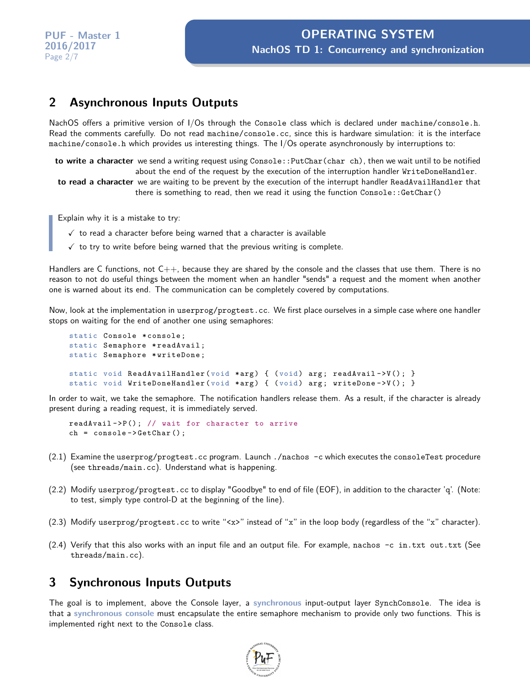### **2 Asynchronous Inputs Outputs**

NachOS offers a primitive version of I/Os through the Console class which is declared under machine/console.h. Read the comments carefully. Do not read machine/console.cc, since this is hardware simulation: it is the interface machine/console.h which provides us interesting things. The I/Os operate asynchronously by interruptions to:

**to write a character** we send a writing request using Console:: PutChar(char ch), then we wait until to be notified about the end of the request by the execution of the interruption handler WriteDoneHandler.

**to read a character** we are waiting to be prevent by the execution of the interrupt handler ReadAvailHandler that there is something to read, then we read it using the function Console::GetChar()

Explain why it is a mistake to try:

- $\sqrt{ }$  to read a character before being warned that a character is available
- $\checkmark$  to try to write before being warned that the previous writing is complete.

Handlers are C functions, not  $C_{++}$ , because they are shared by the console and the classes that use them. There is no reason to not do useful things between the moment when an handler "sends" a request and the moment when another one is warned about its end. The communication can be completely covered by computations.

Now, look at the implementation in userprog/progtest.cc. We first place ourselves in a simple case where one handler stops on waiting for the end of another one using semaphores:

```
static Console * console;
static Semaphore *readAvail;
static Semaphore * writeDone ;
static void ReadAvailHandler (void *arg) { (void) arg; readAvail->V(); }
static void WriteDoneHandler (void *arg) { (void) arg; writeDone->V(); }
```
In order to wait, we take the semaphore. The notification handlers release them. As a result, if the character is already present during a reading request, it is immediately served.

```
readAvailable > P(); // wait for character to arrive
ch = console - > GetChar () ;
```
- (2.1) Examine the userprog/progtest.cc program. Launch ./nachos -c which executes the consoleTest procedure (see threads/main.cc). Understand what is happening.
- (2.2) Modify userprog/progtest.cc to display "Goodbye" to end of file (EOF), in addition to the character 'q'. (Note: to test, simply type control-D at the beginning of the line).
- (2.3) Modify userprog/progtest.cc to write "<x>" instead of "x" in the loop body (regardless of the "x" character).
- $(2.4)$  Verify that this also works with an input file and an output file. For example, nachos  $-c$  in.txt out.txt (See threads/main.cc).

# **3 Synchronous Inputs Outputs**

The goal is to implement, above the Console layer, a **synchronous** input-output layer SynchConsole. The idea is that a **synchronous console** must encapsulate the entire semaphore mechanism to provide only two functions. This is implemented right next to the Console class.

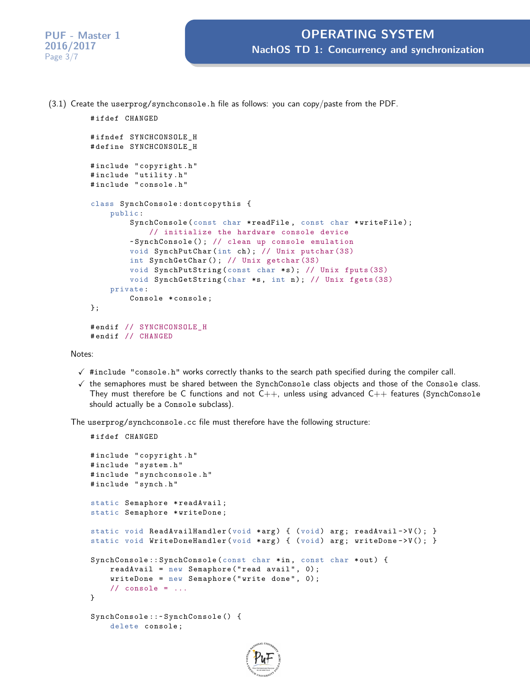(3.1) Create the userprog/synchconsole.h file as follows: you can copy/paste from the PDF.

```
# ifdef CHANGED
#ifndef SYNCHCONSOLE H
# define SYNCHCONSOLE_H
# include " copyright . h "
# include " utility . h "
# include " console . h "
class SynchConsole : dontcopythis {
    public :
        SynchConsole (const char *readFile, const char *writeFile);
             // initialize the hardware console device
        ~ SynchConsole () ; // clean up console emulation
        void SynchPutChar (int ch ) ; // Unix putchar (3S)
        int SynchGetChar () ; // Unix getchar (3S)
        void SynchPutString (const char *s); // Unix fputs (3S)
        void SynchGetString (char *s, int n); // Unix fgets (3S)
    private :
        Console *console;
};
# endif // SYNCHCONSOLE_H
# endif // CHANGED
```
Notes:

- $\checkmark$  #include "console.h" works correctly thanks to the search path specified during the compiler call.
- $\checkmark$  the semaphores must be shared between the SynchConsole class objects and those of the Console class. They must therefore be C functions and not  $C_{++}$ , unless using advanced  $C_{++}$  features (SynchConsole should actually be a Console subclass).

The userprog/synchconsole.cc file must therefore have the following structure:

```
# ifdef CHANGED
# include " copyright . h "
# include " system . h "
# include " synchconsole . h "
# include " synch . h "
static Semaphore *readAvail;
static Semaphore * writeDone ;
static void ReadAvailHandler (void *arg) { (void) arg; readAvail->V(); }
static void WriteDoneHandler (void *arg) { (void) arg; writeDone->V(); }
SynchConsole:: SynchConsole (const char *in, const char *out) {
    readAvailable = new Semaphore("read avail", 0);writeDone = new Semaphore ("write done", 0);
    // console = \ldots}
SynchConsole ::~ SynchConsole () {
    delete console ;
```
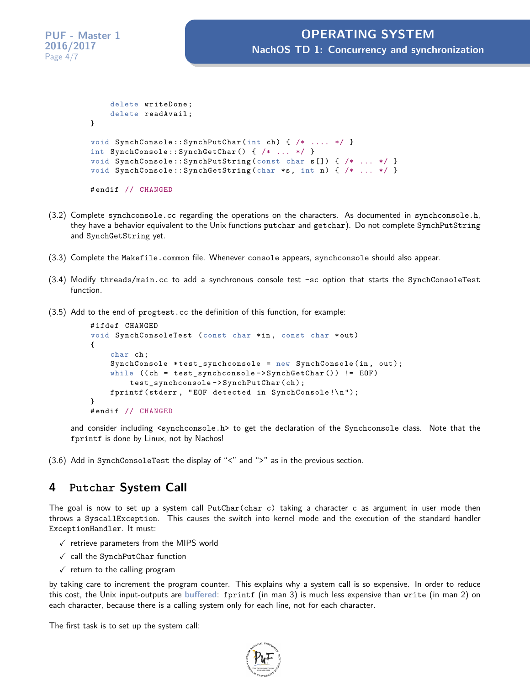```
delete writeDone ;
    delete readAvail ;
}
void SynchConsole:: SynchPutChar (int ch) { /* .... */ }
int SynchConsole :: SynchGetChar () { /* ... */ }
void SynchConsole :: SynchPutString ( const char s []) { /* ... */ }
void SynchConsole:: SynchGetString (char *s, int n) { /* ... */ }
# endif // CHANGED
```
- (3.2) Complete synchconsole.cc regarding the operations on the characters. As documented in synchconsole.h, they have a behavior equivalent to the Unix functions putchar and getchar). Do not complete SynchPutString and SynchGetString yet.
- (3.3) Complete the Makefile.common file. Whenever console appears, synchconsole should also appear.
- (3.4) Modify threads/main.cc to add a synchronous console test -sc option that starts the SynchConsoleTest function.
- (3.5) Add to the end of progtest.cc the definition of this function, for example:

```
# ifdef CHANGED
void SynchConsoleTest (const char *in, const char *out)
{
    char ch ;
    SynchConsole *test_synchconsole = new SynchConsole (in, out);
    while ((ch = test_synchconsole->SynchGetChar()) != EOF)
        test_synchconsole - > SynchPutChar ( ch ) ;
    fprintf (stderr, "EOF detected in SynchConsole!\n");
}
# endif // CHANGED
```
and consider including <synchconsole.h> to get the declaration of the Synchconsole class. Note that the fprintf is done by Linux, not by Nachos!

(3.6) Add in SynchConsoleTest the display of "<" and ">" as in the previous section.

### **4 Putchar System Call**

The goal is now to set up a system call PutChar(char c) taking a character c as argument in user mode then throws a SyscallException. This causes the switch into kernel mode and the execution of the standard handler ExceptionHandler. It must:

- $\checkmark$  retrieve parameters from the MIPS world
- $\checkmark$  call the SynchPutChar function
- $\checkmark$  return to the calling program

by taking care to increment the program counter. This explains why a system call is so expensive. In order to reduce this cost, the Unix input-outputs are **buffered**: fprintf (in man 3) is much less expensive than write (in man 2) on each character, because there is a calling system only for each line, not for each character.

The first task is to set up the system call:

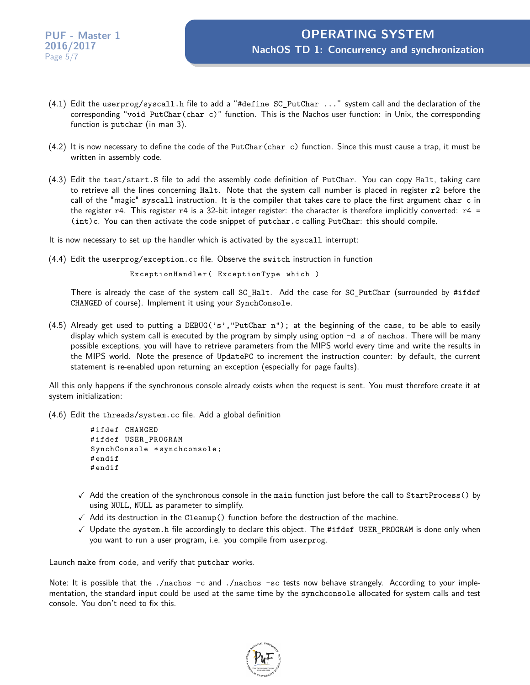- (4.1) Edit the userprog/syscall.h file to add a "#define SC\_PutChar ..." system call and the declaration of the corresponding "void PutChar(char c)" function. This is the Nachos user function: in Unix, the corresponding function is putchar (in man 3).
- $(4.2)$  It is now necessary to define the code of the PutChar(char c) function. Since this must cause a trap, it must be written in assembly code.
- (4.3) Edit the test/start.S file to add the assembly code definition of PutChar. You can copy Halt, taking care to retrieve all the lines concerning Halt. Note that the system call number is placed in register r2 before the call of the "magic" syscall instruction. It is the compiler that takes care to place the first argument char c in the register  $r4$ . This register  $r4$  is a 32-bit integer register: the character is therefore implicitly converted:  $r4 =$ (int)c. You can then activate the code snippet of putchar.c calling PutChar: this should compile.
- It is now necessary to set up the handler which is activated by the syscall interrupt:
- (4.4) Edit the userprog/exception.cc file. Observe the switch instruction in function

```
ExceptionHandler ( ExceptionType which )
```
There is already the case of the system call SC\_Halt. Add the case for SC\_PutChar (surrounded by #ifdef CHANGED of course). Implement it using your SynchConsole.

(4.5) Already get used to putting a DEBUG('s', "PutChar n"); at the beginning of the case, to be able to easily display which system call is executed by the program by simply using option -d s of nachos. There will be many possible exceptions, you will have to retrieve parameters from the MIPS world every time and write the results in the MIPS world. Note the presence of UpdatePC to increment the instruction counter: by default, the current statement is re-enabled upon returning an exception (especially for page faults).

All this only happens if the synchronous console already exists when the request is sent. You must therefore create it at system initialization:

(4.6) Edit the threads/system.cc file. Add a global definition

```
# ifdef CHANGED
# ifdef USER_PROGRAM
SynchConsole * synchconsole ;
# endif
# endif
```
- $\checkmark$  Add the creation of the synchronous console in the main function just before the call to StartProcess() by using NULL, NULL as parameter to simplify.
- $\checkmark$  Add its destruction in the Cleanup() function before the destruction of the machine.
- $\checkmark$  Update the system.h file accordingly to declare this object. The #ifdef USER\_PROGRAM is done only when you want to run a user program, i.e. you compile from userprog.

Launch make from code, and verify that putchar works.

Note: It is possible that the ./nachos -c and ./nachos -sc tests now behave strangely. According to your implementation, the standard input could be used at the same time by the synchconsole allocated for system calls and test console. You don't need to fix this.

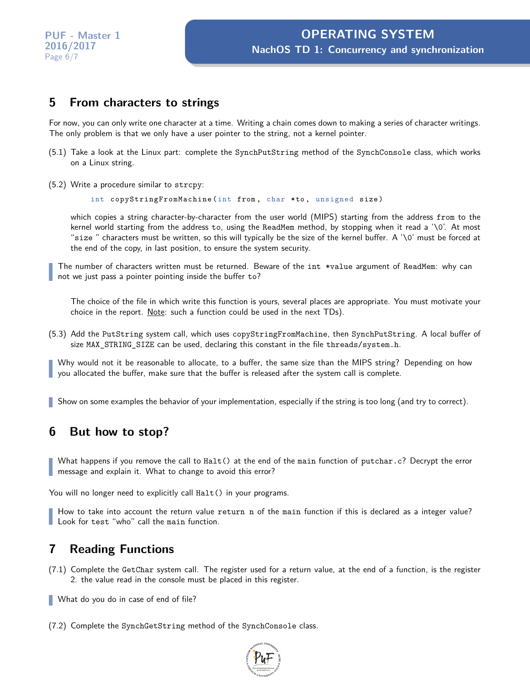### **5 From characters to strings**

For now, you can only write one character at a time. Writing a chain comes down to making a series of character writings. The only problem is that we only have a user pointer to the string, not a kernel pointer.

- (5.1) Take a look at the Linux part: complete the SynchPutString method of the SynchConsole class, which works on a Linux string.
- (5.2) Write a procedure similar to strcpy:

int copyStringFromMachine (int from , char \* to , unsigned size )

which copies a string character-by-character from the user world (MIPS) starting from the address from to the kernel world starting from the address to, using the ReadMem method, by stopping when it read a '\0'. At most "size " characters must be written, so this will typically be the size of the kernel buffer. A '\0' must be forced at the end of the copy, in last position, to ensure the system security.

The number of characters written must be returned. Beware of the int \*value argument of ReadMem: why can not we just pass a pointer pointing inside the buffer to?

The choice of the file in which write this function is yours, several places are appropriate. You must motivate your choice in the report. Note: such a function could be used in the next TDs).

(5.3) Add the PutString system call, which uses copyStringFromMachine, then SynchPutString. A local buffer of size MAX STRING SIZE can be used, declaring this constant in the file threads/system.h.

Why would not it be reasonable to allocate, to a buffer, the same size than the MIPS string? Depending on how you allocated the buffer, make sure that the buffer is released after the system call is complete.

Show on some examples the behavior of your implementation, especially if the string is too long (and try to correct).

# **6 But how to stop?**

What happens if you remove the call to Halt() at the end of the main function of putchar.c? Decrypt the error message and explain it. What to change to avoid this error?

You will no longer need to explicitly call Halt() in your programs.

How to take into account the return value return n of the main function if this is declared as a integer value? Look for test "who" call the main function.

### **7 Reading Functions**

- (7.1) Complete the GetChar system call. The register used for a return value, at the end of a function, is the register 2. the value read in the console must be placed in this register.
- What do you do in case of end of file?
- (7.2) Complete the SynchGetString method of the SynchConsole class.